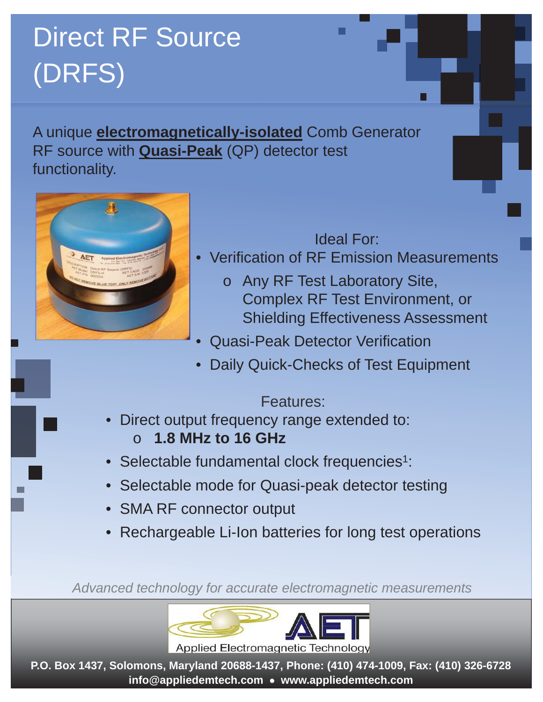# Direct RF Source (DRFS)

A unique **electromagnetically-isolated** Comb Generator RF source with **Quasi-Peak** (QP) detector test functionality.

## Ideal For:

□

- Verification of RF Emission Measurements
	- o Any RF Test Laboratory Site, Complex RF Test Environment, or Shielding Effectiveness Assessment
- Quasi-Peak Detector Verification
- Daily Quick-Checks of Test Equipment

#### Features:

- Direct output frequency range extended to: o **1.8 MHz to 16 GHz**
- Selectable fundamental clock frequencies<sup>1</sup>:
- Selectable mode for Quasi-peak detector testing
- SMA RF connector output
- Rechargeable Li-Ion batteries for long test operations

*Advanced technology for accurate electromagnetic measurements*



Applied Electromagnetic Technology

**P.O. Box 1437, Solomons, Maryland 20688-1437, Phone: (410) 474-1009, Fax: (410) 326-6728 info@appliedemtech.com • www.appliedemtech.com**